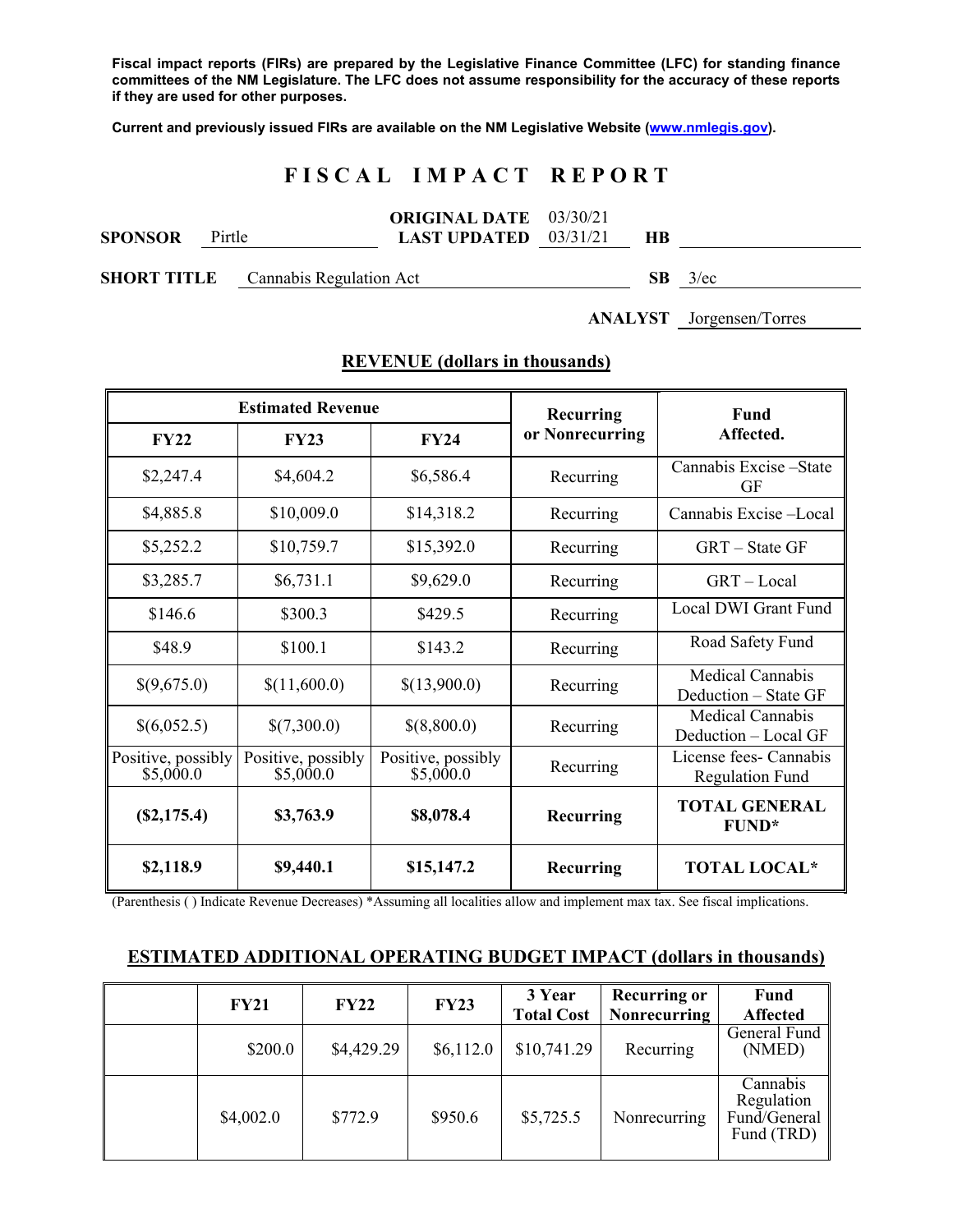**Fiscal impact reports (FIRs) are prepared by the Legislative Finance Committee (LFC) for standing finance committees of the NM Legislature. The LFC does not assume responsibility for the accuracy of these reports if they are used for other purposes.** 

**Current and previously issued FIRs are available on the NM Legislative Website (www.nmlegis.gov).** 

# **F I S C A L I M P A C T R E P O R T**

|                |        | <b>ORIGINAL DATE</b> 03/30/21  |           |  |
|----------------|--------|--------------------------------|-----------|--|
| <b>SPONSOR</b> | Pirtle | <b>LAST UPDATED</b> $03/31/21$ | <b>HB</b> |  |
|                |        |                                |           |  |

**SHORT TITLE** Cannabis Regulation Act **SB** 3/ec

**ANALYST** Jorgensen/Torres

|                                 | <b>Estimated Revenue</b>        | Recurring                       | <b>Fund</b>     |                                                   |  |
|---------------------------------|---------------------------------|---------------------------------|-----------------|---------------------------------------------------|--|
| <b>FY22</b>                     | <b>FY23</b>                     | <b>FY24</b>                     | or Nonrecurring | Affected.                                         |  |
| \$2,247.4                       | \$4,604.2                       | \$6,586.4                       | Recurring       | Cannabis Excise - State<br>GF                     |  |
| \$4,885.8                       | \$10,009.0                      | \$14,318.2                      | Recurring       | Cannabis Excise -Local                            |  |
| \$5,252.2                       | \$10,759.7                      | \$15,392.0                      | Recurring       | $GRT - State GF$                                  |  |
| \$3,285.7                       | \$6,731.1                       | \$9,629.0                       | Recurring       | $GRT - Local$                                     |  |
| \$146.6                         | \$300.3                         | \$429.5                         | Recurring       | Local DWI Grant Fund                              |  |
| \$48.9                          | \$100.1                         | \$143.2                         | Recurring       | Road Safety Fund                                  |  |
| \$(9,675.0)                     | \$(11,600.0)                    | \$(13,900.0)                    | Recurring       | Medical Cannabis<br>Deduction - State GF          |  |
| \$(6,052.5)                     | \$(7,300.0)                     | \$(8,800.0)                     | Recurring       | Medical Cannabis<br>Deduction - Local GF          |  |
| Positive, possibly<br>\$5,000.0 | Positive, possibly<br>\$5,000.0 | Positive, possibly<br>\$5,000.0 | Recurring       | License fees - Cannabis<br><b>Regulation Fund</b> |  |
| $(\$2,175.4)$                   | \$3,763.9                       | \$8,078.4                       | Recurring       | <b>TOTAL GENERAL</b><br><b>FUND*</b>              |  |
| \$2,118.9                       | \$9,440.1                       | \$15,147.2                      | Recurring       | <b>TOTAL LOCAL*</b>                               |  |

### **REVENUE (dollars in thousands)**

(Parenthesis ( ) Indicate Revenue Decreases) \*Assuming all localities allow and implement max tax. See fiscal implications.

# **ESTIMATED ADDITIONAL OPERATING BUDGET IMPACT (dollars in thousands)**

| <b>FY21</b> | <b>FY22</b> | <b>FY23</b> | 3 Year<br><b>Total Cost</b> | <b>Recurring or</b><br>Nonrecurring | <b>Fund</b><br><b>Affected</b>                       |
|-------------|-------------|-------------|-----------------------------|-------------------------------------|------------------------------------------------------|
| \$200.0     | \$4,429.29  | \$6,112.0   | \$10,741.29                 | Recurring                           | General Fund<br>(NMED)                               |
| \$4,002.0   | \$772.9     | \$950.6     | \$5,725.5                   | Nonrecurring                        | Cannabis<br>Regulation<br>Fund/General<br>Fund (TRD) |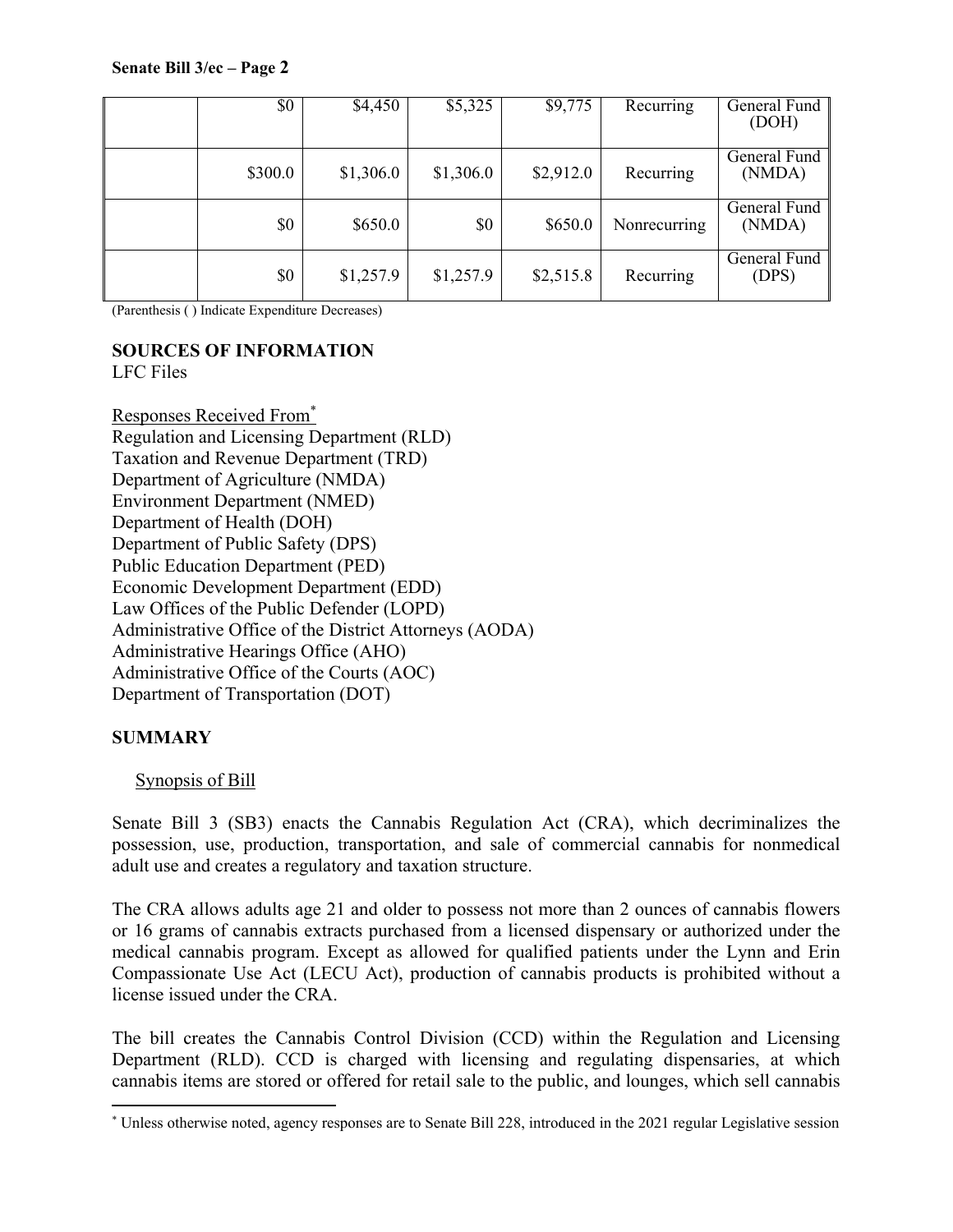| \$0     | \$4,450   | \$5,325   | \$9,775   | Recurring    | General Fund<br>(DOH)  |
|---------|-----------|-----------|-----------|--------------|------------------------|
| \$300.0 | \$1,306.0 | \$1,306.0 | \$2,912.0 | Recurring    | General Fund<br>(NMDA) |
| \$0     | \$650.0   | \$0       | \$650.0   | Nonrecurring | General Fund<br>(NMDA) |
| \$0     | \$1,257.9 | \$1,257.9 | \$2,515.8 | Recurring    | General Fund<br>(DPS)  |

(Parenthesis ( ) Indicate Expenditure Decreases)

#### **SOURCES OF INFORMATION**  LFC Files

Responses Received From\* Regulation and Licensing Department (RLD) Taxation and Revenue Department (TRD) Department of Agriculture (NMDA) Environment Department (NMED) Department of Health (DOH) Department of Public Safety (DPS) Public Education Department (PED) Economic Development Department (EDD) Law Offices of the Public Defender (LOPD) Administrative Office of the District Attorneys (AODA) Administrative Hearings Office (AHO) Administrative Office of the Courts (AOC) Department of Transportation (DOT)

# **SUMMARY**

 $\overline{a}$ 

# Synopsis of Bill

Senate Bill 3 (SB3) enacts the Cannabis Regulation Act (CRA), which decriminalizes the possession, use, production, transportation, and sale of commercial cannabis for nonmedical adult use and creates a regulatory and taxation structure.

The CRA allows adults age 21 and older to possess not more than 2 ounces of cannabis flowers or 16 grams of cannabis extracts purchased from a licensed dispensary or authorized under the medical cannabis program. Except as allowed for qualified patients under the Lynn and Erin Compassionate Use Act (LECU Act), production of cannabis products is prohibited without a license issued under the CRA.

The bill creates the Cannabis Control Division (CCD) within the Regulation and Licensing Department (RLD). CCD is charged with licensing and regulating dispensaries, at which cannabis items are stored or offered for retail sale to the public, and lounges, which sell cannabis

<sup>\*</sup> Unless otherwise noted, agency responses are to Senate Bill 228, introduced in the 2021 regular Legislative session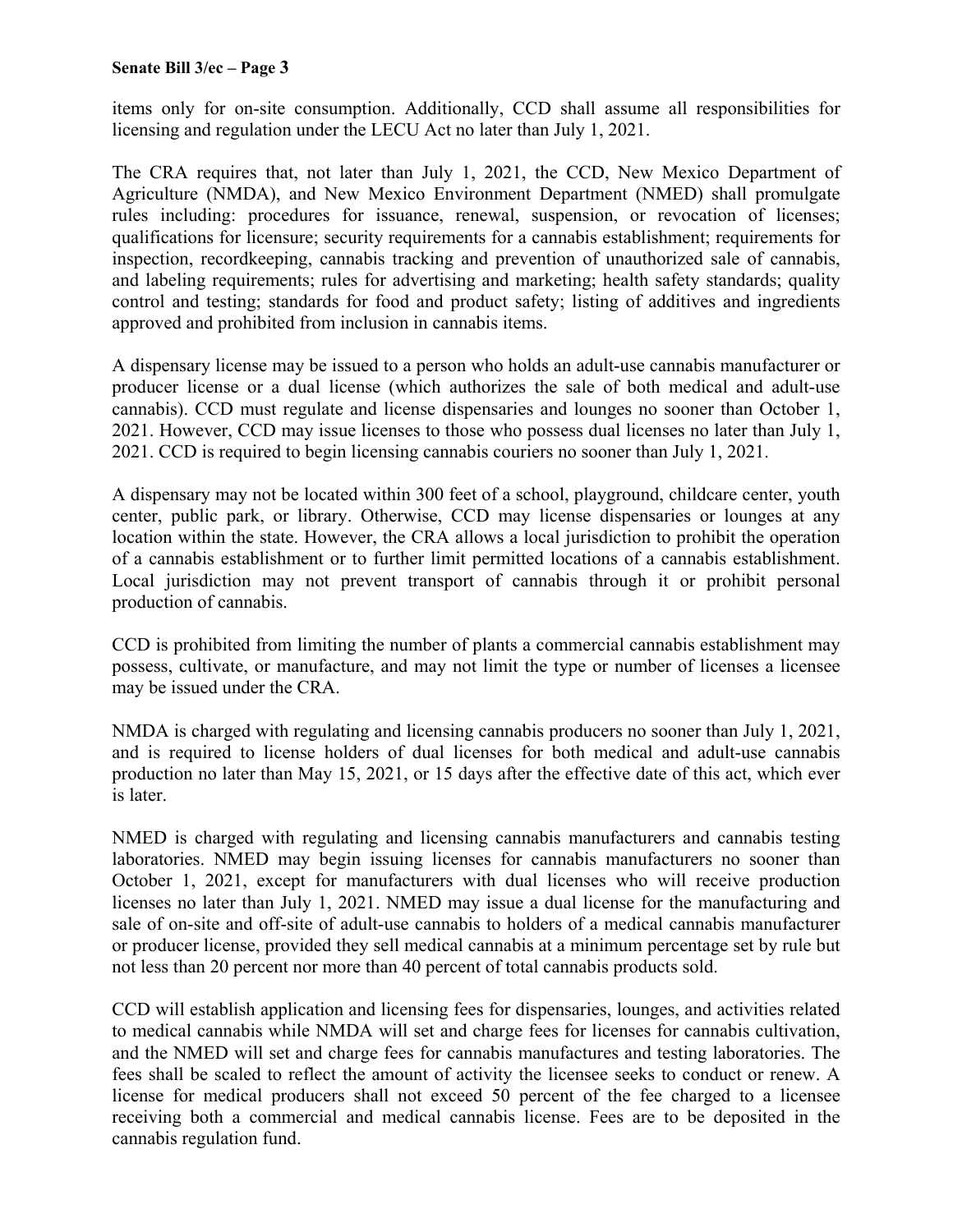items only for on-site consumption. Additionally, CCD shall assume all responsibilities for licensing and regulation under the LECU Act no later than July 1, 2021.

The CRA requires that, not later than July 1, 2021, the CCD, New Mexico Department of Agriculture (NMDA), and New Mexico Environment Department (NMED) shall promulgate rules including: procedures for issuance, renewal, suspension, or revocation of licenses; qualifications for licensure; security requirements for a cannabis establishment; requirements for inspection, recordkeeping, cannabis tracking and prevention of unauthorized sale of cannabis, and labeling requirements; rules for advertising and marketing; health safety standards; quality control and testing; standards for food and product safety; listing of additives and ingredients approved and prohibited from inclusion in cannabis items.

A dispensary license may be issued to a person who holds an adult-use cannabis manufacturer or producer license or a dual license (which authorizes the sale of both medical and adult-use cannabis). CCD must regulate and license dispensaries and lounges no sooner than October 1, 2021. However, CCD may issue licenses to those who possess dual licenses no later than July 1, 2021. CCD is required to begin licensing cannabis couriers no sooner than July 1, 2021.

A dispensary may not be located within 300 feet of a school, playground, childcare center, youth center, public park, or library. Otherwise, CCD may license dispensaries or lounges at any location within the state. However, the CRA allows a local jurisdiction to prohibit the operation of a cannabis establishment or to further limit permitted locations of a cannabis establishment. Local jurisdiction may not prevent transport of cannabis through it or prohibit personal production of cannabis.

CCD is prohibited from limiting the number of plants a commercial cannabis establishment may possess, cultivate, or manufacture, and may not limit the type or number of licenses a licensee may be issued under the CRA.

NMDA is charged with regulating and licensing cannabis producers no sooner than July 1, 2021, and is required to license holders of dual licenses for both medical and adult-use cannabis production no later than May 15, 2021, or 15 days after the effective date of this act, which ever is later.

NMED is charged with regulating and licensing cannabis manufacturers and cannabis testing laboratories. NMED may begin issuing licenses for cannabis manufacturers no sooner than October 1, 2021, except for manufacturers with dual licenses who will receive production licenses no later than July 1, 2021. NMED may issue a dual license for the manufacturing and sale of on-site and off-site of adult-use cannabis to holders of a medical cannabis manufacturer or producer license, provided they sell medical cannabis at a minimum percentage set by rule but not less than 20 percent nor more than 40 percent of total cannabis products sold.

CCD will establish application and licensing fees for dispensaries, lounges, and activities related to medical cannabis while NMDA will set and charge fees for licenses for cannabis cultivation, and the NMED will set and charge fees for cannabis manufactures and testing laboratories. The fees shall be scaled to reflect the amount of activity the licensee seeks to conduct or renew. A license for medical producers shall not exceed 50 percent of the fee charged to a licensee receiving both a commercial and medical cannabis license. Fees are to be deposited in the cannabis regulation fund.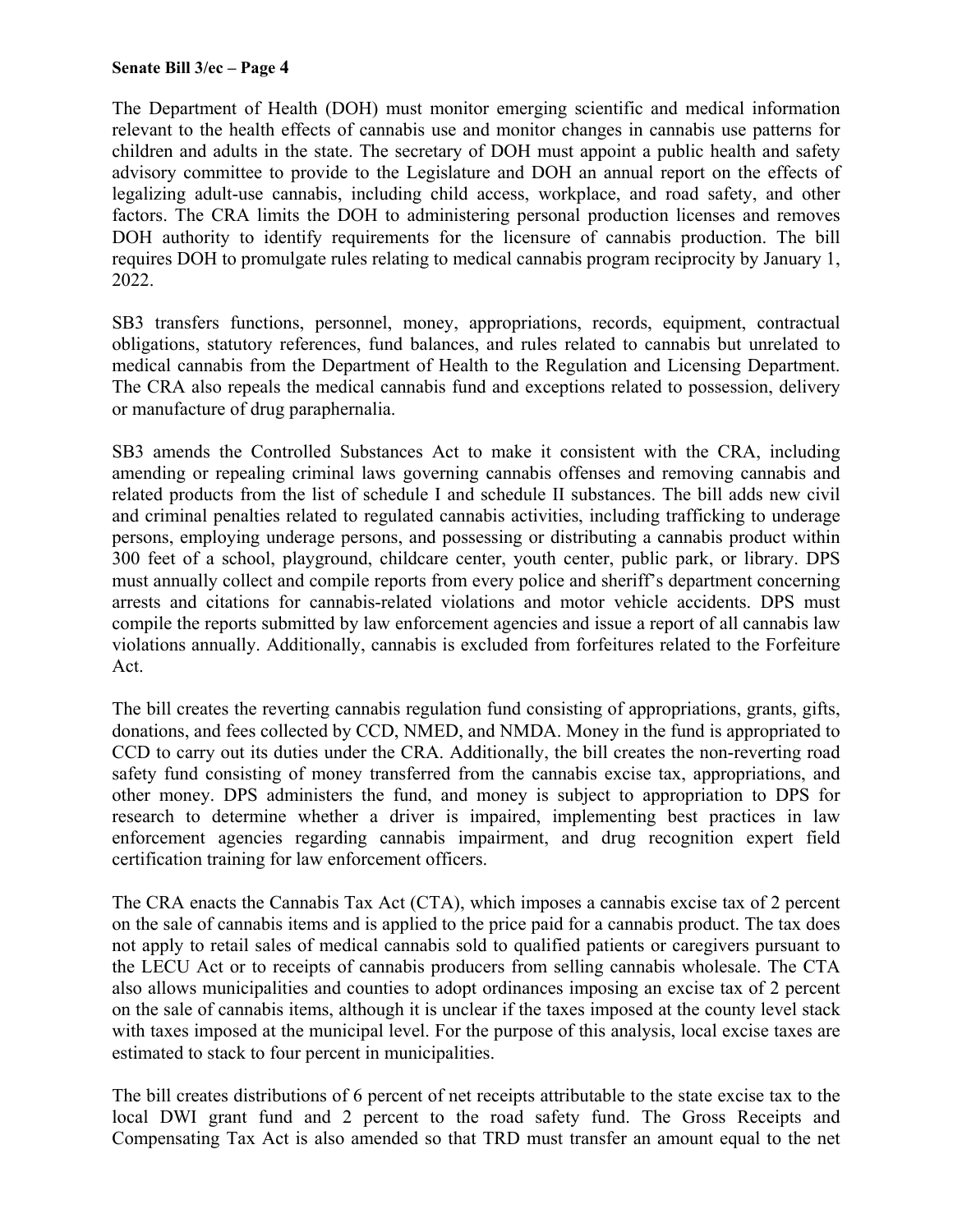The Department of Health (DOH) must monitor emerging scientific and medical information relevant to the health effects of cannabis use and monitor changes in cannabis use patterns for children and adults in the state. The secretary of DOH must appoint a public health and safety advisory committee to provide to the Legislature and DOH an annual report on the effects of legalizing adult-use cannabis, including child access, workplace, and road safety, and other factors. The CRA limits the DOH to administering personal production licenses and removes DOH authority to identify requirements for the licensure of cannabis production. The bill requires DOH to promulgate rules relating to medical cannabis program reciprocity by January 1, 2022.

SB3 transfers functions, personnel, money, appropriations, records, equipment, contractual obligations, statutory references, fund balances, and rules related to cannabis but unrelated to medical cannabis from the Department of Health to the Regulation and Licensing Department. The CRA also repeals the medical cannabis fund and exceptions related to possession, delivery or manufacture of drug paraphernalia.

SB3 amends the Controlled Substances Act to make it consistent with the CRA, including amending or repealing criminal laws governing cannabis offenses and removing cannabis and related products from the list of schedule I and schedule II substances. The bill adds new civil and criminal penalties related to regulated cannabis activities, including trafficking to underage persons, employing underage persons, and possessing or distributing a cannabis product within 300 feet of a school, playground, childcare center, youth center, public park, or library. DPS must annually collect and compile reports from every police and sheriff's department concerning arrests and citations for cannabis-related violations and motor vehicle accidents. DPS must compile the reports submitted by law enforcement agencies and issue a report of all cannabis law violations annually. Additionally, cannabis is excluded from forfeitures related to the Forfeiture Act.

The bill creates the reverting cannabis regulation fund consisting of appropriations, grants, gifts, donations, and fees collected by CCD, NMED, and NMDA. Money in the fund is appropriated to CCD to carry out its duties under the CRA. Additionally, the bill creates the non-reverting road safety fund consisting of money transferred from the cannabis excise tax, appropriations, and other money. DPS administers the fund, and money is subject to appropriation to DPS for research to determine whether a driver is impaired, implementing best practices in law enforcement agencies regarding cannabis impairment, and drug recognition expert field certification training for law enforcement officers.

The CRA enacts the Cannabis Tax Act (CTA), which imposes a cannabis excise tax of 2 percent on the sale of cannabis items and is applied to the price paid for a cannabis product. The tax does not apply to retail sales of medical cannabis sold to qualified patients or caregivers pursuant to the LECU Act or to receipts of cannabis producers from selling cannabis wholesale. The CTA also allows municipalities and counties to adopt ordinances imposing an excise tax of 2 percent on the sale of cannabis items, although it is unclear if the taxes imposed at the county level stack with taxes imposed at the municipal level. For the purpose of this analysis, local excise taxes are estimated to stack to four percent in municipalities.

The bill creates distributions of 6 percent of net receipts attributable to the state excise tax to the local DWI grant fund and 2 percent to the road safety fund. The Gross Receipts and Compensating Tax Act is also amended so that TRD must transfer an amount equal to the net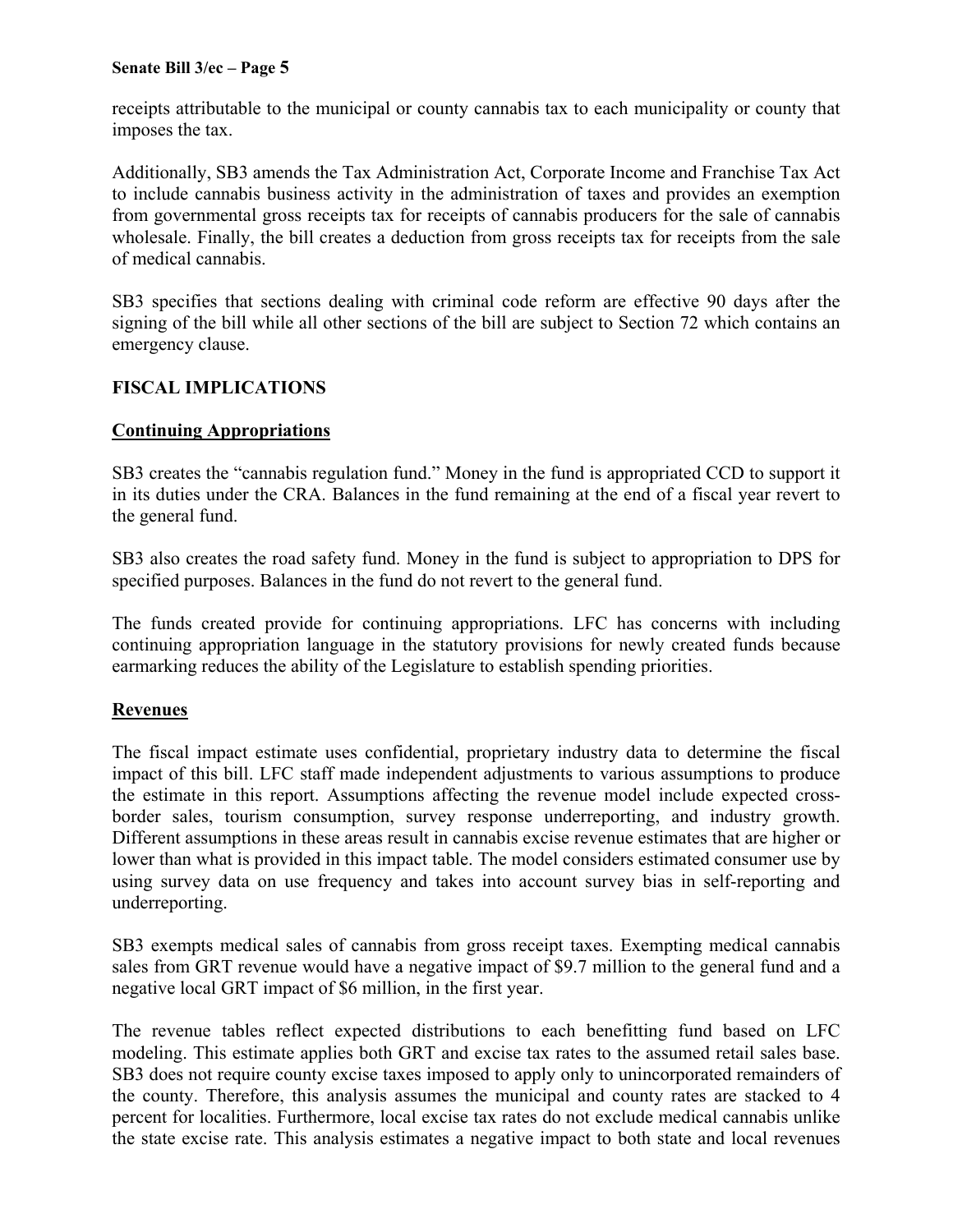receipts attributable to the municipal or county cannabis tax to each municipality or county that imposes the tax.

Additionally, SB3 amends the Tax Administration Act, Corporate Income and Franchise Tax Act to include cannabis business activity in the administration of taxes and provides an exemption from governmental gross receipts tax for receipts of cannabis producers for the sale of cannabis wholesale. Finally, the bill creates a deduction from gross receipts tax for receipts from the sale of medical cannabis.

SB3 specifies that sections dealing with criminal code reform are effective 90 days after the signing of the bill while all other sections of the bill are subject to Section 72 which contains an emergency clause.

# **FISCAL IMPLICATIONS**

# **Continuing Appropriations**

SB3 creates the "cannabis regulation fund." Money in the fund is appropriated CCD to support it in its duties under the CRA. Balances in the fund remaining at the end of a fiscal year revert to the general fund.

SB3 also creates the road safety fund. Money in the fund is subject to appropriation to DPS for specified purposes. Balances in the fund do not revert to the general fund.

The funds created provide for continuing appropriations. LFC has concerns with including continuing appropriation language in the statutory provisions for newly created funds because earmarking reduces the ability of the Legislature to establish spending priorities.

### **Revenues**

The fiscal impact estimate uses confidential, proprietary industry data to determine the fiscal impact of this bill. LFC staff made independent adjustments to various assumptions to produce the estimate in this report. Assumptions affecting the revenue model include expected crossborder sales, tourism consumption, survey response underreporting, and industry growth. Different assumptions in these areas result in cannabis excise revenue estimates that are higher or lower than what is provided in this impact table. The model considers estimated consumer use by using survey data on use frequency and takes into account survey bias in self-reporting and underreporting.

SB3 exempts medical sales of cannabis from gross receipt taxes. Exempting medical cannabis sales from GRT revenue would have a negative impact of \$9.7 million to the general fund and a negative local GRT impact of \$6 million, in the first year.

The revenue tables reflect expected distributions to each benefitting fund based on LFC modeling. This estimate applies both GRT and excise tax rates to the assumed retail sales base. SB3 does not require county excise taxes imposed to apply only to unincorporated remainders of the county. Therefore, this analysis assumes the municipal and county rates are stacked to 4 percent for localities. Furthermore, local excise tax rates do not exclude medical cannabis unlike the state excise rate. This analysis estimates a negative impact to both state and local revenues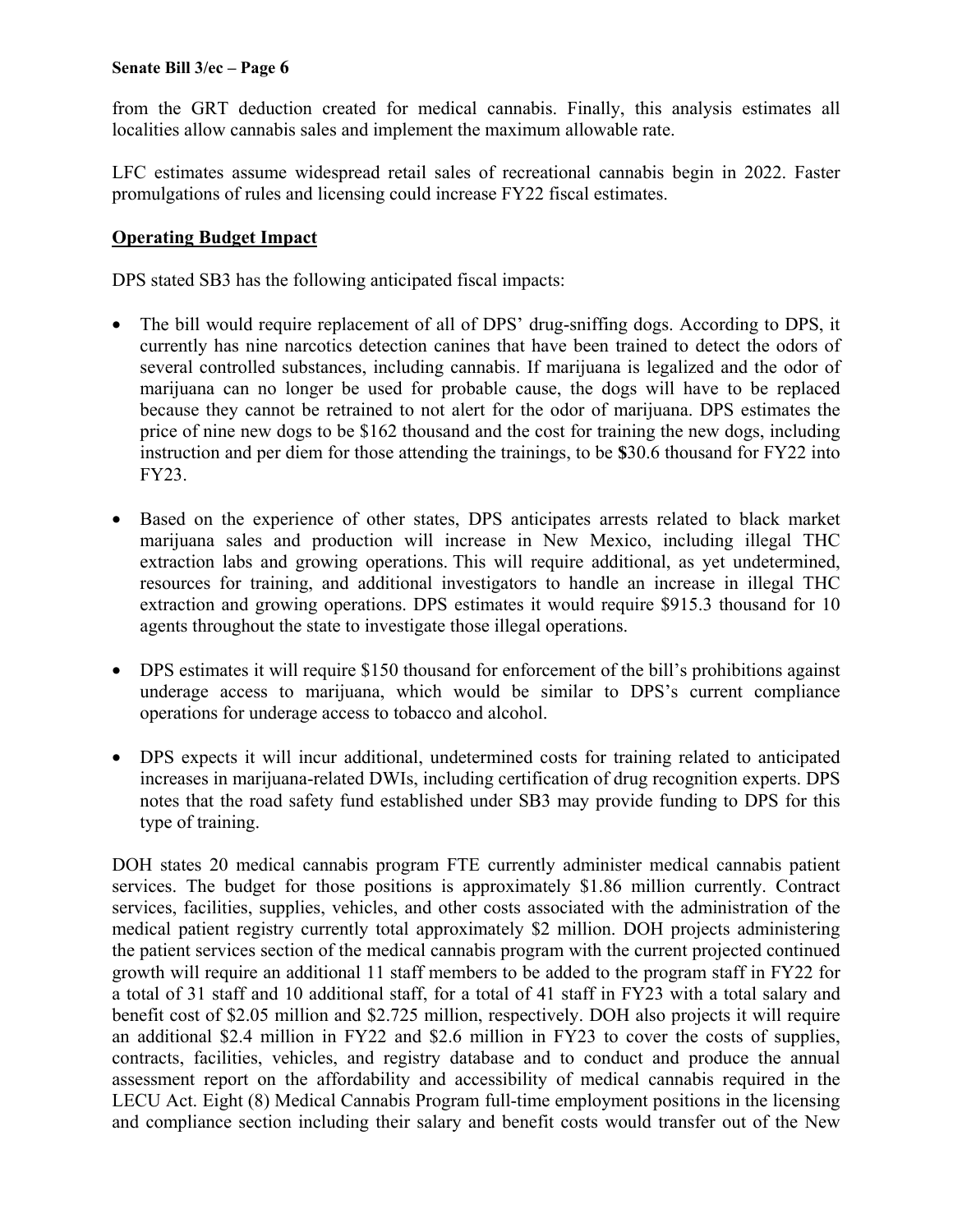from the GRT deduction created for medical cannabis. Finally, this analysis estimates all localities allow cannabis sales and implement the maximum allowable rate.

LFC estimates assume widespread retail sales of recreational cannabis begin in 2022. Faster promulgations of rules and licensing could increase FY22 fiscal estimates.

# **Operating Budget Impact**

DPS stated SB3 has the following anticipated fiscal impacts:

- The bill would require replacement of all of DPS' drug-sniffing dogs. According to DPS, it currently has nine narcotics detection canines that have been trained to detect the odors of several controlled substances, including cannabis. If marijuana is legalized and the odor of marijuana can no longer be used for probable cause, the dogs will have to be replaced because they cannot be retrained to not alert for the odor of marijuana. DPS estimates the price of nine new dogs to be \$162 thousand and the cost for training the new dogs, including instruction and per diem for those attending the trainings, to be **\$**30.6 thousand for FY22 into FY23.
- Based on the experience of other states, DPS anticipates arrests related to black market marijuana sales and production will increase in New Mexico, including illegal THC extraction labs and growing operations. This will require additional, as yet undetermined, resources for training, and additional investigators to handle an increase in illegal THC extraction and growing operations. DPS estimates it would require \$915.3 thousand for 10 agents throughout the state to investigate those illegal operations.
- DPS estimates it will require \$150 thousand for enforcement of the bill's prohibitions against underage access to marijuana, which would be similar to DPS's current compliance operations for underage access to tobacco and alcohol.
- DPS expects it will incur additional, undetermined costs for training related to anticipated increases in marijuana-related DWIs, including certification of drug recognition experts. DPS notes that the road safety fund established under SB3 may provide funding to DPS for this type of training.

DOH states 20 medical cannabis program FTE currently administer medical cannabis patient services. The budget for those positions is approximately \$1.86 million currently. Contract services, facilities, supplies, vehicles, and other costs associated with the administration of the medical patient registry currently total approximately \$2 million. DOH projects administering the patient services section of the medical cannabis program with the current projected continued growth will require an additional 11 staff members to be added to the program staff in FY22 for a total of 31 staff and 10 additional staff, for a total of 41 staff in FY23 with a total salary and benefit cost of \$2.05 million and \$2.725 million, respectively. DOH also projects it will require an additional \$2.4 million in FY22 and \$2.6 million in FY23 to cover the costs of supplies, contracts, facilities, vehicles, and registry database and to conduct and produce the annual assessment report on the affordability and accessibility of medical cannabis required in the LECU Act. Eight (8) Medical Cannabis Program full-time employment positions in the licensing and compliance section including their salary and benefit costs would transfer out of the New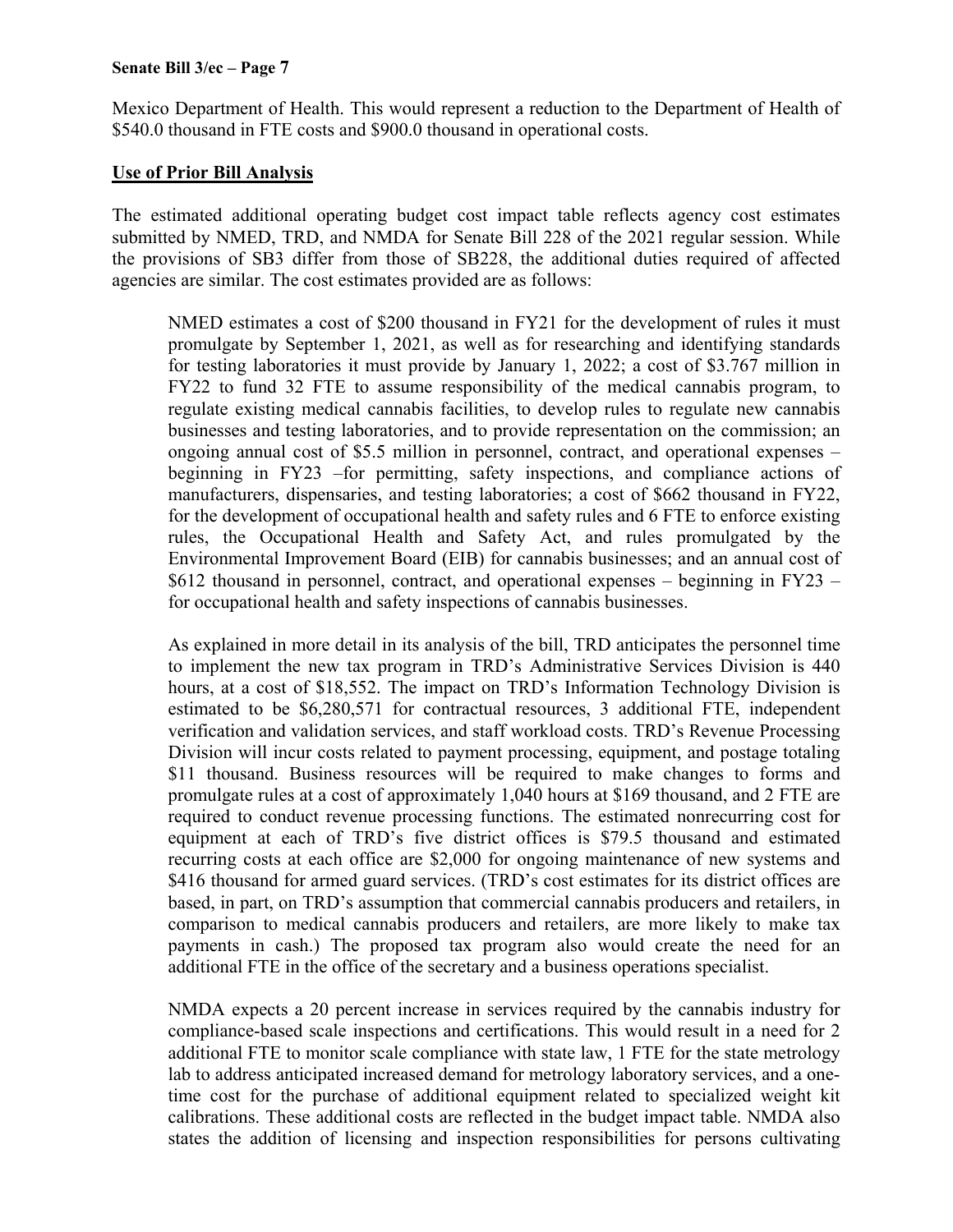Mexico Department of Health. This would represent a reduction to the Department of Health of \$540.0 thousand in FTE costs and \$900.0 thousand in operational costs.

# **Use of Prior Bill Analysis**

The estimated additional operating budget cost impact table reflects agency cost estimates submitted by NMED, TRD, and NMDA for Senate Bill 228 of the 2021 regular session. While the provisions of SB3 differ from those of SB228, the additional duties required of affected agencies are similar. The cost estimates provided are as follows:

NMED estimates a cost of \$200 thousand in FY21 for the development of rules it must promulgate by September 1, 2021, as well as for researching and identifying standards for testing laboratories it must provide by January 1, 2022; a cost of \$3.767 million in FY22 to fund 32 FTE to assume responsibility of the medical cannabis program, to regulate existing medical cannabis facilities, to develop rules to regulate new cannabis businesses and testing laboratories, and to provide representation on the commission; an ongoing annual cost of \$5.5 million in personnel, contract, and operational expenses – beginning in FY23 –for permitting, safety inspections, and compliance actions of manufacturers, dispensaries, and testing laboratories; a cost of \$662 thousand in FY22, for the development of occupational health and safety rules and 6 FTE to enforce existing rules, the Occupational Health and Safety Act, and rules promulgated by the Environmental Improvement Board (EIB) for cannabis businesses; and an annual cost of \$612 thousand in personnel, contract, and operational expenses – beginning in FY23 – for occupational health and safety inspections of cannabis businesses.

As explained in more detail in its analysis of the bill, TRD anticipates the personnel time to implement the new tax program in TRD's Administrative Services Division is 440 hours, at a cost of \$18,552. The impact on TRD's Information Technology Division is estimated to be \$6,280,571 for contractual resources, 3 additional FTE, independent verification and validation services, and staff workload costs. TRD's Revenue Processing Division will incur costs related to payment processing, equipment, and postage totaling \$11 thousand. Business resources will be required to make changes to forms and promulgate rules at a cost of approximately 1,040 hours at \$169 thousand, and 2 FTE are required to conduct revenue processing functions. The estimated nonrecurring cost for equipment at each of TRD's five district offices is \$79.5 thousand and estimated recurring costs at each office are \$2,000 for ongoing maintenance of new systems and \$416 thousand for armed guard services. (TRD's cost estimates for its district offices are based, in part, on TRD's assumption that commercial cannabis producers and retailers, in comparison to medical cannabis producers and retailers, are more likely to make tax payments in cash.) The proposed tax program also would create the need for an additional FTE in the office of the secretary and a business operations specialist.

NMDA expects a 20 percent increase in services required by the cannabis industry for compliance-based scale inspections and certifications. This would result in a need for 2 additional FTE to monitor scale compliance with state law, 1 FTE for the state metrology lab to address anticipated increased demand for metrology laboratory services, and a onetime cost for the purchase of additional equipment related to specialized weight kit calibrations. These additional costs are reflected in the budget impact table. NMDA also states the addition of licensing and inspection responsibilities for persons cultivating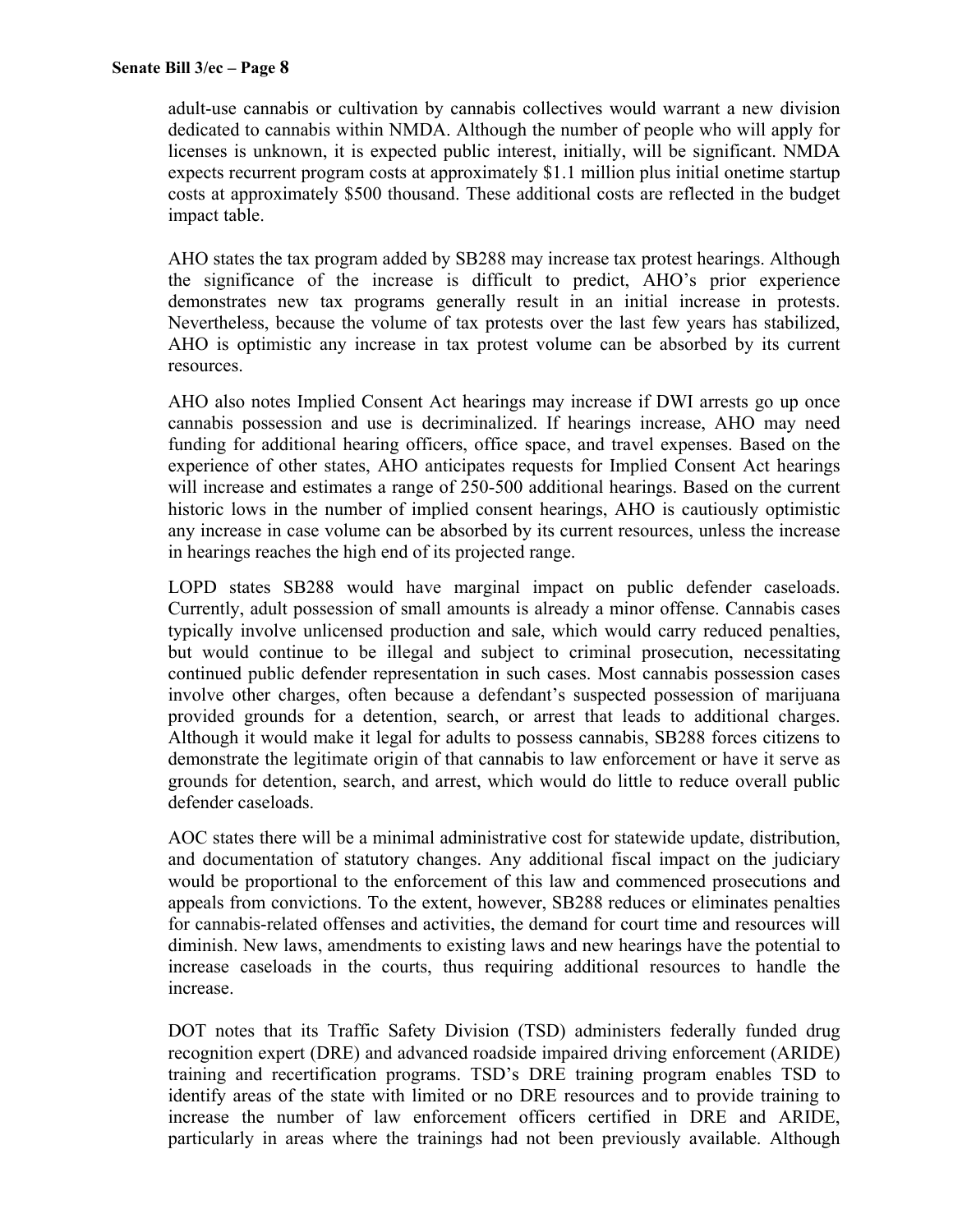adult-use cannabis or cultivation by cannabis collectives would warrant a new division dedicated to cannabis within NMDA. Although the number of people who will apply for licenses is unknown, it is expected public interest, initially, will be significant. NMDA expects recurrent program costs at approximately \$1.1 million plus initial onetime startup costs at approximately \$500 thousand. These additional costs are reflected in the budget impact table.

AHO states the tax program added by SB288 may increase tax protest hearings. Although the significance of the increase is difficult to predict, AHO's prior experience demonstrates new tax programs generally result in an initial increase in protests. Nevertheless, because the volume of tax protests over the last few years has stabilized, AHO is optimistic any increase in tax protest volume can be absorbed by its current resources.

AHO also notes Implied Consent Act hearings may increase if DWI arrests go up once cannabis possession and use is decriminalized. If hearings increase, AHO may need funding for additional hearing officers, office space, and travel expenses. Based on the experience of other states, AHO anticipates requests for Implied Consent Act hearings will increase and estimates a range of 250-500 additional hearings. Based on the current historic lows in the number of implied consent hearings, AHO is cautiously optimistic any increase in case volume can be absorbed by its current resources, unless the increase in hearings reaches the high end of its projected range.

LOPD states SB288 would have marginal impact on public defender caseloads. Currently, adult possession of small amounts is already a minor offense. Cannabis cases typically involve unlicensed production and sale, which would carry reduced penalties, but would continue to be illegal and subject to criminal prosecution, necessitating continued public defender representation in such cases. Most cannabis possession cases involve other charges, often because a defendant's suspected possession of marijuana provided grounds for a detention, search, or arrest that leads to additional charges. Although it would make it legal for adults to possess cannabis, SB288 forces citizens to demonstrate the legitimate origin of that cannabis to law enforcement or have it serve as grounds for detention, search, and arrest, which would do little to reduce overall public defender caseloads.

AOC states there will be a minimal administrative cost for statewide update, distribution, and documentation of statutory changes. Any additional fiscal impact on the judiciary would be proportional to the enforcement of this law and commenced prosecutions and appeals from convictions. To the extent, however, SB288 reduces or eliminates penalties for cannabis-related offenses and activities, the demand for court time and resources will diminish. New laws, amendments to existing laws and new hearings have the potential to increase caseloads in the courts, thus requiring additional resources to handle the increase.

DOT notes that its Traffic Safety Division (TSD) administers federally funded drug recognition expert (DRE) and advanced roadside impaired driving enforcement (ARIDE) training and recertification programs. TSD's DRE training program enables TSD to identify areas of the state with limited or no DRE resources and to provide training to increase the number of law enforcement officers certified in DRE and ARIDE, particularly in areas where the trainings had not been previously available. Although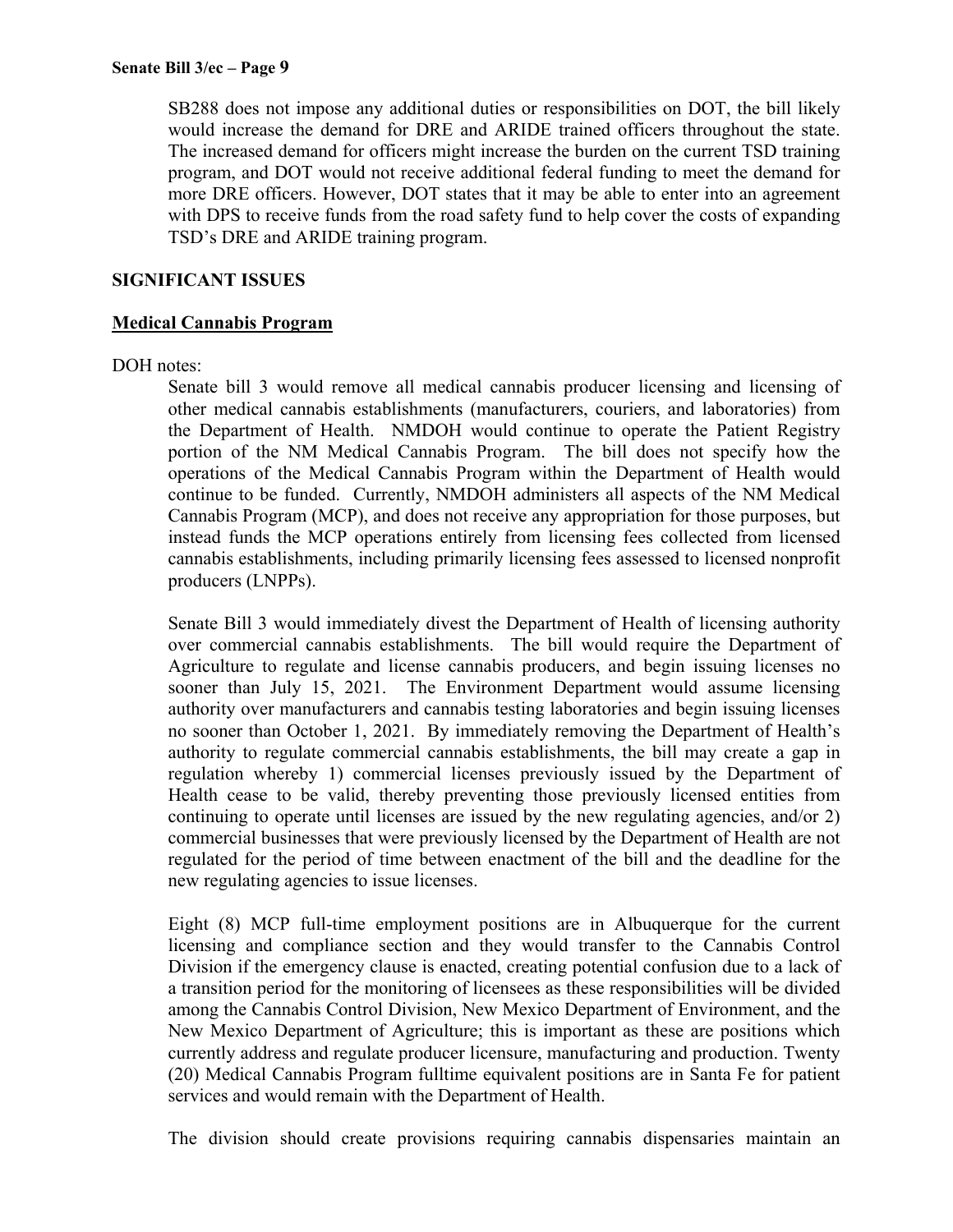SB288 does not impose any additional duties or responsibilities on DOT, the bill likely would increase the demand for DRE and ARIDE trained officers throughout the state. The increased demand for officers might increase the burden on the current TSD training program, and DOT would not receive additional federal funding to meet the demand for more DRE officers. However, DOT states that it may be able to enter into an agreement with DPS to receive funds from the road safety fund to help cover the costs of expanding TSD's DRE and ARIDE training program.

## **SIGNIFICANT ISSUES**

# **Medical Cannabis Program**

### DOH notes:

Senate bill 3 would remove all medical cannabis producer licensing and licensing of other medical cannabis establishments (manufacturers, couriers, and laboratories) from the Department of Health. NMDOH would continue to operate the Patient Registry portion of the NM Medical Cannabis Program. The bill does not specify how the operations of the Medical Cannabis Program within the Department of Health would continue to be funded. Currently, NMDOH administers all aspects of the NM Medical Cannabis Program (MCP), and does not receive any appropriation for those purposes, but instead funds the MCP operations entirely from licensing fees collected from licensed cannabis establishments, including primarily licensing fees assessed to licensed nonprofit producers (LNPPs).

Senate Bill 3 would immediately divest the Department of Health of licensing authority over commercial cannabis establishments. The bill would require the Department of Agriculture to regulate and license cannabis producers, and begin issuing licenses no sooner than July 15, 2021. The Environment Department would assume licensing authority over manufacturers and cannabis testing laboratories and begin issuing licenses no sooner than October 1, 2021. By immediately removing the Department of Health's authority to regulate commercial cannabis establishments, the bill may create a gap in regulation whereby 1) commercial licenses previously issued by the Department of Health cease to be valid, thereby preventing those previously licensed entities from continuing to operate until licenses are issued by the new regulating agencies, and/or 2) commercial businesses that were previously licensed by the Department of Health are not regulated for the period of time between enactment of the bill and the deadline for the new regulating agencies to issue licenses.

Eight (8) MCP full-time employment positions are in Albuquerque for the current licensing and compliance section and they would transfer to the Cannabis Control Division if the emergency clause is enacted, creating potential confusion due to a lack of a transition period for the monitoring of licensees as these responsibilities will be divided among the Cannabis Control Division, New Mexico Department of Environment, and the New Mexico Department of Agriculture; this is important as these are positions which currently address and regulate producer licensure, manufacturing and production. Twenty (20) Medical Cannabis Program fulltime equivalent positions are in Santa Fe for patient services and would remain with the Department of Health.

The division should create provisions requiring cannabis dispensaries maintain an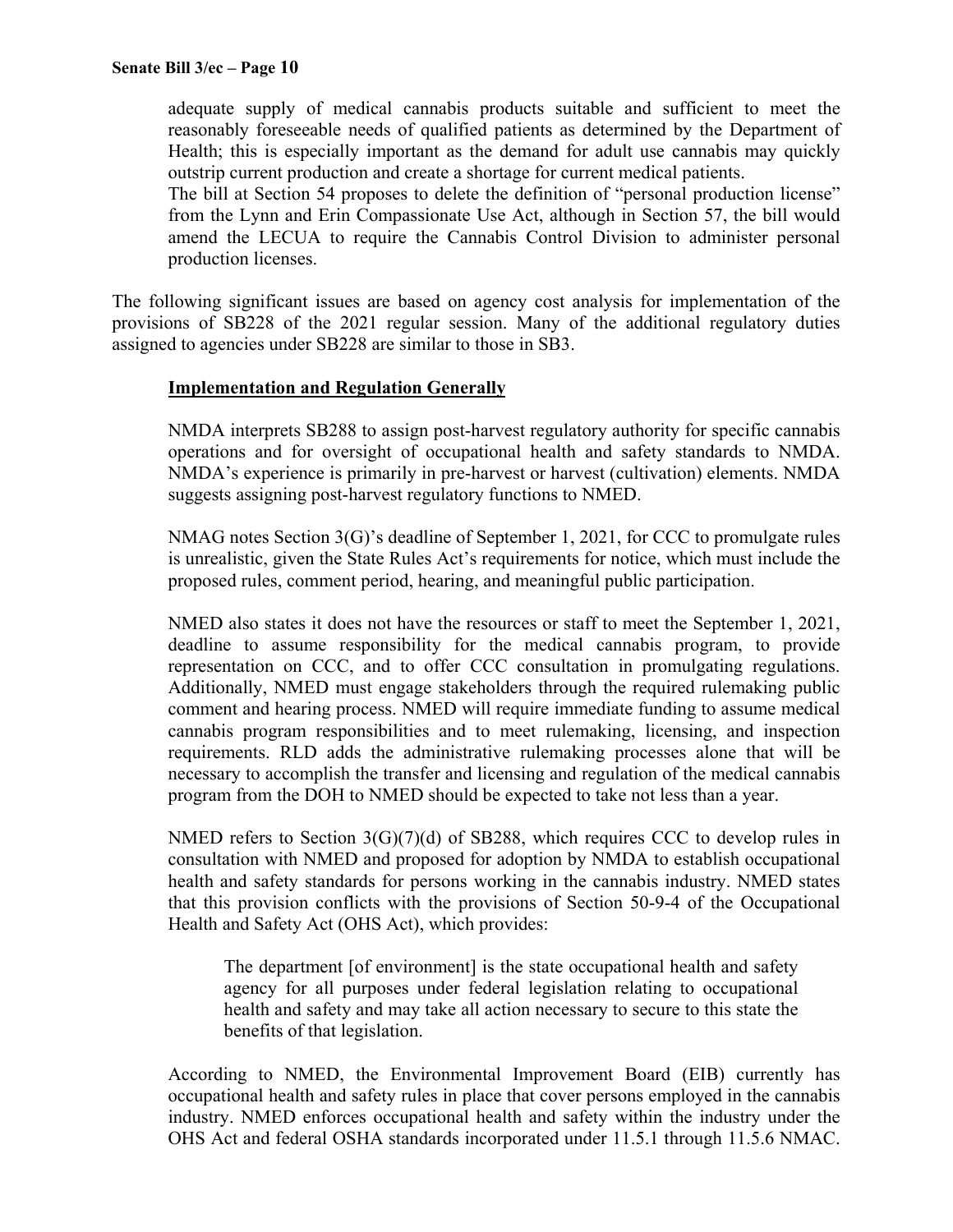adequate supply of medical cannabis products suitable and sufficient to meet the reasonably foreseeable needs of qualified patients as determined by the Department of Health; this is especially important as the demand for adult use cannabis may quickly outstrip current production and create a shortage for current medical patients.

The bill at Section 54 proposes to delete the definition of "personal production license" from the Lynn and Erin Compassionate Use Act, although in Section 57, the bill would amend the LECUA to require the Cannabis Control Division to administer personal production licenses.

The following significant issues are based on agency cost analysis for implementation of the provisions of SB228 of the 2021 regular session. Many of the additional regulatory duties assigned to agencies under SB228 are similar to those in SB3.

# **Implementation and Regulation Generally**

NMDA interprets SB288 to assign post-harvest regulatory authority for specific cannabis operations and for oversight of occupational health and safety standards to NMDA. NMDA's experience is primarily in pre-harvest or harvest (cultivation) elements. NMDA suggests assigning post-harvest regulatory functions to NMED.

NMAG notes Section 3(G)'s deadline of September 1, 2021, for CCC to promulgate rules is unrealistic, given the State Rules Act's requirements for notice, which must include the proposed rules, comment period, hearing, and meaningful public participation.

NMED also states it does not have the resources or staff to meet the September 1, 2021, deadline to assume responsibility for the medical cannabis program, to provide representation on CCC, and to offer CCC consultation in promulgating regulations. Additionally, NMED must engage stakeholders through the required rulemaking public comment and hearing process. NMED will require immediate funding to assume medical cannabis program responsibilities and to meet rulemaking, licensing, and inspection requirements. RLD adds the administrative rulemaking processes alone that will be necessary to accomplish the transfer and licensing and regulation of the medical cannabis program from the DOH to NMED should be expected to take not less than a year.

NMED refers to Section 3(G)(7)(d) of SB288, which requires CCC to develop rules in consultation with NMED and proposed for adoption by NMDA to establish occupational health and safety standards for persons working in the cannabis industry. NMED states that this provision conflicts with the provisions of Section 50-9-4 of the Occupational Health and Safety Act (OHS Act), which provides:

The department [of environment] is the state occupational health and safety agency for all purposes under federal legislation relating to occupational health and safety and may take all action necessary to secure to this state the benefits of that legislation.

According to NMED, the Environmental Improvement Board (EIB) currently has occupational health and safety rules in place that cover persons employed in the cannabis industry. NMED enforces occupational health and safety within the industry under the OHS Act and federal OSHA standards incorporated under 11.5.1 through 11.5.6 NMAC.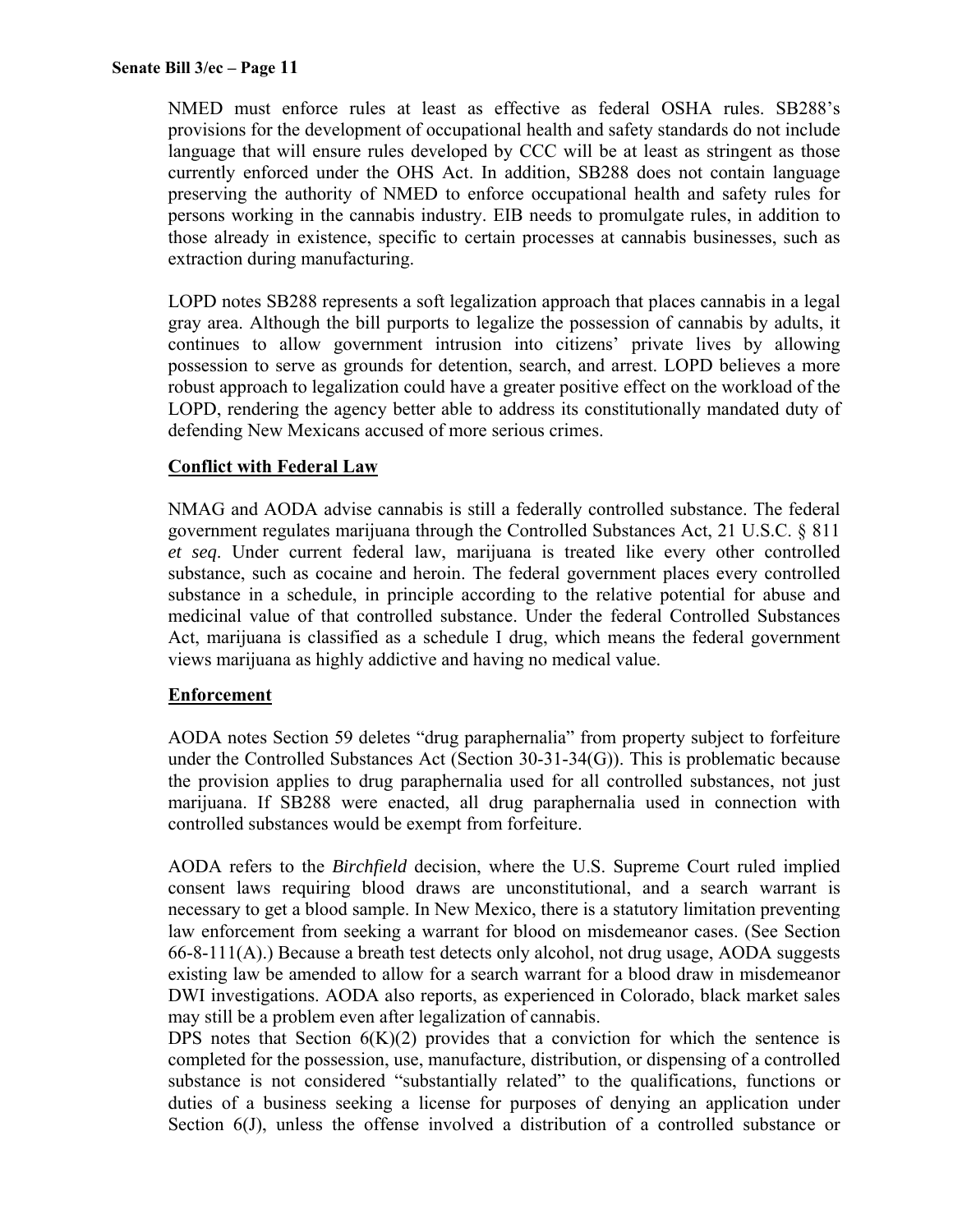NMED must enforce rules at least as effective as federal OSHA rules. SB288's provisions for the development of occupational health and safety standards do not include language that will ensure rules developed by CCC will be at least as stringent as those currently enforced under the OHS Act. In addition, SB288 does not contain language preserving the authority of NMED to enforce occupational health and safety rules for persons working in the cannabis industry. EIB needs to promulgate rules, in addition to those already in existence, specific to certain processes at cannabis businesses, such as extraction during manufacturing.

LOPD notes SB288 represents a soft legalization approach that places cannabis in a legal gray area. Although the bill purports to legalize the possession of cannabis by adults, it continues to allow government intrusion into citizens' private lives by allowing possession to serve as grounds for detention, search, and arrest. LOPD believes a more robust approach to legalization could have a greater positive effect on the workload of the LOPD, rendering the agency better able to address its constitutionally mandated duty of defending New Mexicans accused of more serious crimes.

# **Conflict with Federal Law**

NMAG and AODA advise cannabis is still a federally controlled substance. The federal government regulates marijuana through the Controlled Substances Act, 21 U.S.C. § 811 *et seq*. Under current federal law, marijuana is treated like every other controlled substance, such as cocaine and heroin. The federal government places every controlled substance in a schedule, in principle according to the relative potential for abuse and medicinal value of that controlled substance. Under the federal Controlled Substances Act, marijuana is classified as a schedule I drug, which means the federal government views marijuana as highly addictive and having no medical value.

### **Enforcement**

AODA notes Section 59 deletes "drug paraphernalia" from property subject to forfeiture under the Controlled Substances Act (Section 30-31-34(G)). This is problematic because the provision applies to drug paraphernalia used for all controlled substances, not just marijuana. If SB288 were enacted, all drug paraphernalia used in connection with controlled substances would be exempt from forfeiture.

AODA refers to the *Birchfield* decision, where the U.S. Supreme Court ruled implied consent laws requiring blood draws are unconstitutional, and a search warrant is necessary to get a blood sample. In New Mexico, there is a statutory limitation preventing law enforcement from seeking a warrant for blood on misdemeanor cases. (See Section 66-8-111(A).) Because a breath test detects only alcohol, not drug usage, AODA suggests existing law be amended to allow for a search warrant for a blood draw in misdemeanor DWI investigations. AODA also reports, as experienced in Colorado, black market sales may still be a problem even after legalization of cannabis.

DPS notes that Section  $6(K)(2)$  provides that a conviction for which the sentence is completed for the possession, use, manufacture, distribution, or dispensing of a controlled substance is not considered "substantially related" to the qualifications, functions or duties of a business seeking a license for purposes of denying an application under Section  $6(J)$ , unless the offense involved a distribution of a controlled substance or